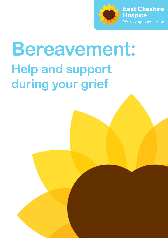

# **Bereavement: Help and support during your grief**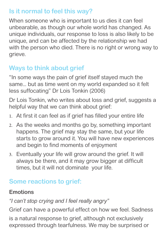## **Is it normal to feel this way?**

When someone who is important to us dies it can feel unbearable, as though our whole world has changed. As unique individuals, our response to loss is also likely to be unique, and can be affected by the relationship we had with the person who died. There is no right or wrong way to grieve.

## **Ways to think about grief**

"In some ways the pain of grief itself stayed much the same... but as time went on my world expanded so it felt less suffocating" Dr Lois Tonkin (2006)

Dr Lois Tonkin, who writes about loss and grief, suggests a helpful way that we can think about grief:

- 1. At first it can feel as if grief has filled your entire life
- 2. As the weeks and months go by, something important happens. The grief may stay the same, but your life starts to grow around it. You will have new experiences and begin to find moments of enjoyment
- 3. Eventually your life will grow around the grief. It will always be there, and it may grow bigger at difficult times, but it will not dominate your life.

## **Some reactions to grief:**

## **Emotions**

## *"I can't stop crying and I feel really angry"*

Grief can have a powerful effect on how we feel. Sadness is a natural response to grief, although not exclusively expressed through tearfulness. We may be surprised or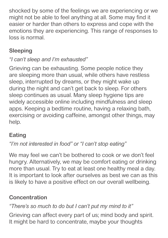shocked by some of the feelings we are experiencing or we might not be able to feel anything at all. Some may find it easier or harder than others to express and cope with the emotions they are experiencing. This range of responses to loss is normal.

## **Sleeping**

## *"I can't sleep and I'm exhausted"*

Grieving can be exhausting. Some people notice they are sleeping more than usual, while others have restless sleep, interrupted by dreams, or they might wake up during the night and can't get back to sleep. For others sleep continues as usual. Many sleep hygiene tips are widely accessible online including mindfulness and sleep apps. Keeping a bedtime routine, having a relaxing bath, exercising or avoiding caffeine, amongst other things, may help.

## **Eating**

## *"I'm not interested in food" or "I can't stop eating"*

We may feel we can't be bothered to cook or we don't feel hungry. Alternatively, we may be comfort eating or drinking more than usual. Try to eat at least one healthy meal a day. It is important to look after ourselves as best we can as this is likely to have a positive effect on our overall wellbeing.

## **Concentration**

## *"There's so much to do but I can't put my mind to it"*

Grieving can affect every part of us; mind body and spirit. It might be hard to concentrate, maybe your thoughts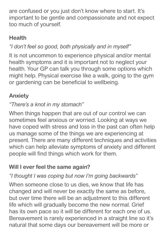are confused or you just don't know where to start. It's important to be gentle and compassionate and not expect too much of yourself.

## **Health**

## *"I don't feel so good, both physically and in myself"*

It is not uncommon to experience physical and/or mental health symptoms and it is important not to neglect your health. Your GP can talk you through some options which might help. Physical exercise like a walk, going to the gym or gardening can be beneficial to wellbeing.

## **Anxiety**

## *"There's a knot in my stomach"*

When things happen that are out of our control we can sometimes feel anxious or worried. Looking at ways we have coped with stress and loss in the past can often help us manage some of the things we are experiencing at present. There are many different techniques and activities which can help alleviate symptoms of anxiety and different people will find things which work for them.

## **Will I ever feel the same again?**

## *"I thought I was coping but now I'm going backwards"*

When someone close to us dies, we know that life has changed and will never be exactly the same as before, but over time there will be an adjustment to this different life which will gradually become the new normal. Grief has its own pace so it will be different for each one of us. Bereavement is rarely experienced in a straight line so it's natural that some days our bereavement will be more or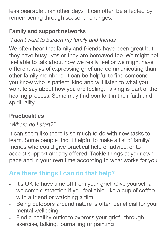less bearable than other days. It can often be affected by remembering through seasonal changes.

## **Family and support networks**

*"I don't want to burden my family and friends"*

We often hear that family and friends have been great but they have busy lives or they are bereaved too. We might not feel able to talk about how we really feel or we might have different ways of expressing grief and communicating than other family members. It can be helpful to find someone you know who is patient, kind and will listen to what you want to say about how you are feeling. Talking is part of the healing process. Some may find comfort in their faith and spirituality.

## **Practicalities**

#### *"Where do I start?"*

It can seem like there is so much to do with new tasks to learn. Some people find it helpful to make a list of family/ friends who could give practical help or advice, or to accept support already offered. Tackle things at your own pace and in your own time according to what works for you.

## **Are there things I can do that help?**

- It's OK to have time off from your grief. Give yourself a welcome distraction if you feel able, like a cup of coffee with a friend or watching a film
- Being outdoors around nature is often beneficial for your mental wellbeing
- Find a healthy outlet to express your grief –through exercise, talking, journalling or painting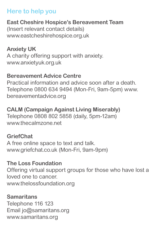## **Here to help you**

## **East Cheshire Hospice's Bereavement Team**

(Insert relevant contact details) www.eastcheshirehospice.org.uk

## **Anxiety UK**

A charity offering support with anxiety. www.anxietyuk.org.uk

#### **Bereavement Advice Centre**

Practical information and advice soon after a death. Telephone 0800 634 9494 (Mon-Fri, 9am-5pm) www. bereavementadvice.org

#### **CALM (Campaign Against Living Miserably)**

Telephone 0808 802 5858 (daily, 5pm-12am) www.thecalmzone.net

#### **GriefChat**

A free online space to text and talk. www.griefchat.co.uk (Mon-Fri, 9am-9pm)

## **The Loss Foundation**

Offering virtual support groups for those who have lost a loved one to cancer. www.thelossfoundation.org

#### **Samaritans**

Telephone 116 123 Email jo@samaritans.org www.samaritans.org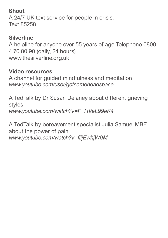#### **Shout**

A 24/7 UK text service for people in crisis. Text 85258

## **Silverline**

A helpline for anyone over 55 years of age Telephone 0800 4 70 80 90 (daily, 24 hours) www.thesilverline.org.uk

#### **Video resources**

A channel for guided mindfulness and meditation *www.youtube.com/user/getsomeheadspace*

A TedTalk by Dr Susan Delaney about different grieving styles *www.youtube.com/watch?v=F\_HVeL99eK4*

A TedTalk by bereavement specialist Julia Samuel MBE about the power of pain *www.youtube.com/watch?v=flijEwhjW0M*